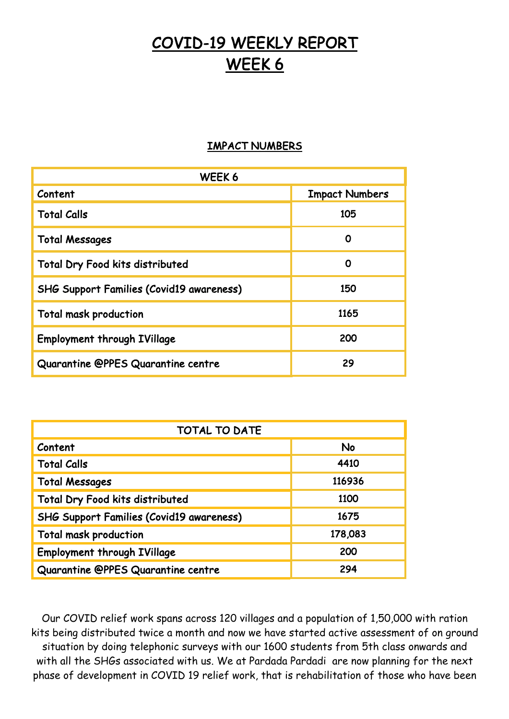## COVID-19 WEEKLY REPORT WEEK 6

## IMPACT NUMBERS

| WEEK 6                                          |                       |
|-------------------------------------------------|-----------------------|
| Content                                         | <b>Impact Numbers</b> |
| <b>Total Calls</b>                              | 105                   |
| <b>Total Messages</b>                           | O                     |
| <b>Total Dry Food kits distributed</b>          | O                     |
| <b>SHG Support Families (Covid19 awareness)</b> | 150                   |
| <b>Total mask production</b>                    | 1165                  |
| <b>Employment through IVillage</b>              | 200                   |
| Quarantine @PPES Quarantine centre              | 29                    |

| <b>TOTAL TO DATE</b>                            |           |
|-------------------------------------------------|-----------|
| Content                                         | <b>No</b> |
| <b>Total Calls</b>                              | 4410      |
| <b>Total Messages</b>                           | 116936    |
| Total Dry Food kits distributed                 | 1100      |
| <b>SHG Support Families (Covid19 awareness)</b> | 1675      |
| <b>Total mask production</b>                    | 178,083   |
| <b>Employment through IVillage</b>              | 200       |
| Quarantine @PPES Quarantine centre              | 294       |

Our COVID relief work spans across 120 villages and a population of 1,50,000 with ration kits being distributed twice a month and now we have started active assessment of on ground situation by doing telephonic surveys with our 1600 students from 5th class onwards and with all the SHGs associated with us. We at Pardada Pardadi are now planning for the next phase of development in COVID 19 relief work, that is rehabilitation of those who have been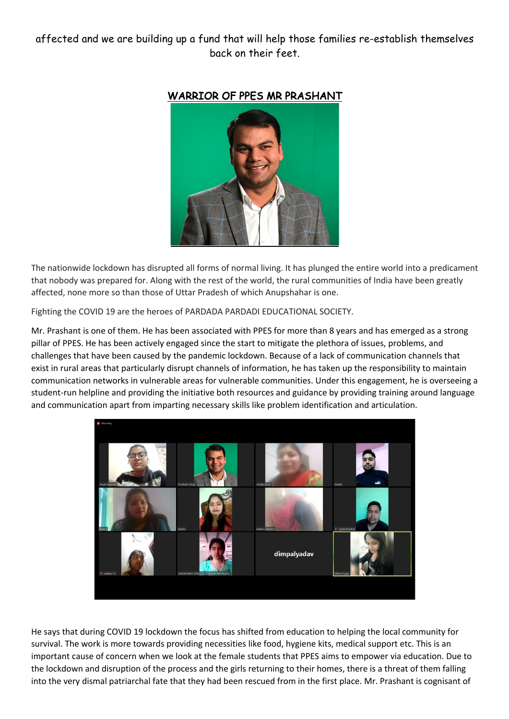## affected and we are building up a fund that will help those families re-establish themselves back on their feet.



## WARRIOR OF PPES MR PRASHANT

The nationwide lockdown has disrupted all forms of normal living. It has plunged the entire world into a predicament that nobody was prepared for. Along with the rest of the world, the rural communities of India have been greatly affected, none more so than those of Uttar Pradesh of which Anupshahar is one.

Fighting the COVID 19 are the heroes of PARDADA PARDADI EDUCATIONAL SOCIETY.

Mr. Prashant is one of them. He has been associated with PPES for more than 8 years and has emerged as a strong pillar of PPES. He has been actively engaged since the start to mitigate the plethora of issues, problems, and challenges that have been caused by the pandemic lockdown. Because of a lack of communication channels that exist in rural areas that particularly disrupt channels of information, he has taken up the responsibility to maintain communication networks in vulnerable areas for vulnerable communities. Under this engagement, he is overseeing a student-run helpline and providing the initiative both resources and guidance by providing training around language and communication apart from imparting necessary skills like problem identification and articulation.



He says that during COVID 19 lockdown the focus has shifted from education to helping the local community for survival. The work is more towards providing necessities like food, hygiene kits, medical support etc. This is an important cause of concern when we look at the female students that PPES aims to empower via education. Due to the lockdown and disruption of the process and the girls returning to their homes, there is a threat of them falling into the very dismal patriarchal fate that they had been rescued from in the first place. Mr. Prashant is cognisant of